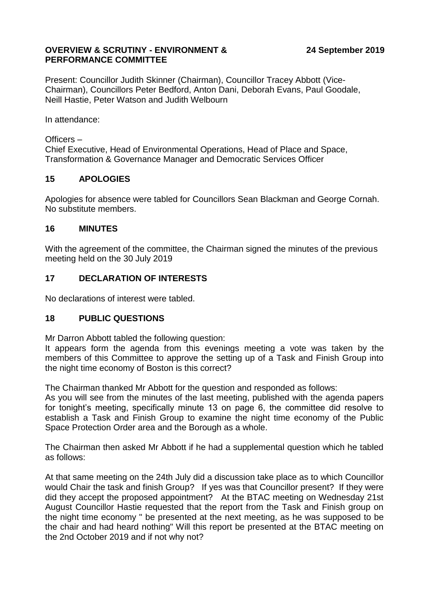### **OVERVIEW & SCRUTINY - ENVIRONMENT & PERFORMANCE COMMITTEE**

Present: Councillor Judith Skinner (Chairman), Councillor Tracey Abbott (Vice-Chairman), Councillors Peter Bedford, Anton Dani, Deborah Evans, Paul Goodale, Neill Hastie, Peter Watson and Judith Welbourn

In attendance:

### Officers –

Chief Executive, Head of Environmental Operations, Head of Place and Space, Transformation & Governance Manager and Democratic Services Officer

### **15 APOLOGIES**

Apologies for absence were tabled for Councillors Sean Blackman and George Cornah. No substitute members.

### **16 MINUTES**

With the agreement of the committee, the Chairman signed the minutes of the previous meeting held on the 30 July 2019

### **17 DECLARATION OF INTERESTS**

No declarations of interest were tabled.

### **18 PUBLIC QUESTIONS**

Mr Darron Abbott tabled the following question:

It appears form the agenda from this evenings meeting a vote was taken by the members of this Committee to approve the setting up of a Task and Finish Group into the night time economy of Boston is this correct?

The Chairman thanked Mr Abbott for the question and responded as follows:

As you will see from the minutes of the last meeting, published with the agenda papers for tonight's meeting, specifically minute 13 on page 6, the committee did resolve to establish a Task and Finish Group to examine the night time economy of the Public Space Protection Order area and the Borough as a whole.

The Chairman then asked Mr Abbott if he had a supplemental question which he tabled as follows:

At that same meeting on the 24th July did a discussion take place as to which Councillor would Chair the task and finish Group? If yes was that Councillor present? If they were did they accept the proposed appointment? At the BTAC meeting on Wednesday 21st August Councillor Hastie requested that the report from the Task and Finish group on the night time economy " be presented at the next meeting, as he was supposed to be the chair and had heard nothing" Will this report be presented at the BTAC meeting on the 2nd October 2019 and if not why not?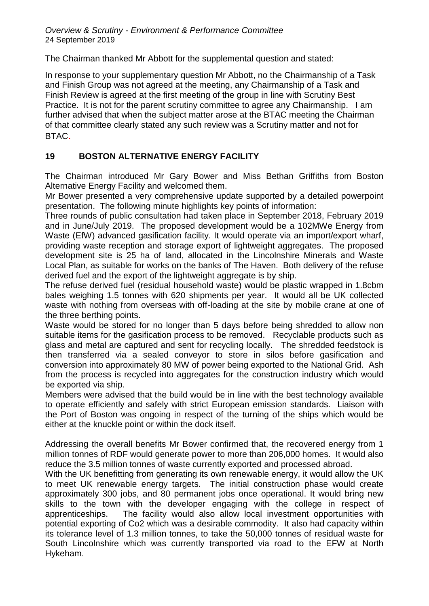*Overview & Scrutiny - Environment & Performance Committee* 24 September 2019

The Chairman thanked Mr Abbott for the supplemental question and stated:

In response to your supplementary question Mr Abbott, no the Chairmanship of a Task and Finish Group was not agreed at the meeting, any Chairmanship of a Task and Finish Review is agreed at the first meeting of the group in line with Scrutiny Best Practice. It is not for the parent scrutiny committee to agree any Chairmanship. I am further advised that when the subject matter arose at the BTAC meeting the Chairman of that committee clearly stated any such review was a Scrutiny matter and not for BTAC.

# **19 BOSTON ALTERNATIVE ENERGY FACILITY**

The Chairman introduced Mr Gary Bower and Miss Bethan Griffiths from Boston Alternative Energy Facility and welcomed them.

Mr Bower presented a very comprehensive update supported by a detailed powerpoint presentation. The following minute highlights key points of information:

Three rounds of public consultation had taken place in September 2018, February 2019 and in June/July 2019. The proposed development would be a 102MWe Energy from Waste (EfW) advanced gasification facility. It would operate via an import/export wharf, providing waste reception and storage export of lightweight aggregates. The proposed development site is 25 ha of land, allocated in the Lincolnshire Minerals and Waste Local Plan, as suitable for works on the banks of The Haven. Both delivery of the refuse derived fuel and the export of the lightweight aggregate is by ship.

The refuse derived fuel (residual household waste) would be plastic wrapped in 1.8cbm bales weighing 1.5 tonnes with 620 shipments per year. It would all be UK collected waste with nothing from overseas with off-loading at the site by mobile crane at one of the three berthing points.

Waste would be stored for no longer than 5 days before being shredded to allow non suitable items for the gasification process to be removed. Recyclable products such as glass and metal are captured and sent for recycling locally. The shredded feedstock is then transferred via a sealed conveyor to store in silos before gasification and conversion into approximately 80 MW of power being exported to the National Grid. Ash from the process is recycled into aggregates for the construction industry which would be exported via ship.

Members were advised that the build would be in line with the best technology available to operate efficiently and safely with strict European emission standards. Liaison with the Port of Boston was ongoing in respect of the turning of the ships which would be either at the knuckle point or within the dock itself.

Addressing the overall benefits Mr Bower confirmed that, the recovered energy from 1 million tonnes of RDF would generate power to more than 206,000 homes. It would also reduce the 3.5 million tonnes of waste currently exported and processed abroad.

With the UK benefitting from generating its own renewable energy, it would allow the UK to meet UK renewable energy targets. The initial construction phase would create approximately 300 jobs, and 80 permanent jobs once operational. It would bring new skills to the town with the developer engaging with the college in respect of apprenticeships. The facility would also allow local investment opportunities with potential exporting of Co2 which was a desirable commodity. It also had capacity within its tolerance level of 1.3 million tonnes, to take the 50,000 tonnes of residual waste for South Lincolnshire which was currently transported via road to the EFW at North Hykeham.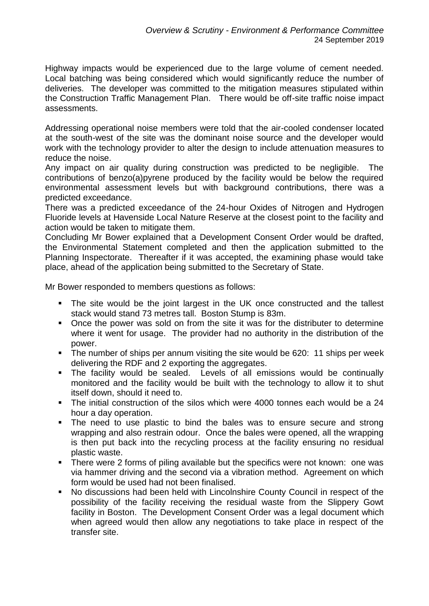Highway impacts would be experienced due to the large volume of cement needed. Local batching was being considered which would significantly reduce the number of deliveries. The developer was committed to the mitigation measures stipulated within the Construction Traffic Management Plan. There would be off-site traffic noise impact assessments.

Addressing operational noise members were told that the air-cooled condenser located at the south-west of the site was the dominant noise source and the developer would work with the technology provider to alter the design to include attenuation measures to reduce the noise.

Any impact on air quality during construction was predicted to be negligible. The contributions of benzo(a)pyrene produced by the facility would be below the required environmental assessment levels but with background contributions, there was a predicted exceedance.

There was a predicted exceedance of the 24-hour Oxides of Nitrogen and Hydrogen Fluoride levels at Havenside Local Nature Reserve at the closest point to the facility and action would be taken to mitigate them.

Concluding Mr Bower explained that a Development Consent Order would be drafted, the Environmental Statement completed and then the application submitted to the Planning Inspectorate. Thereafter if it was accepted, the examining phase would take place, ahead of the application being submitted to the Secretary of State.

Mr Bower responded to members questions as follows:

- The site would be the joint largest in the UK once constructed and the tallest stack would stand 73 metres tall. Boston Stump is 83m.
- Once the power was sold on from the site it was for the distributer to determine where it went for usage. The provider had no authority in the distribution of the power.
- **The number of ships per annum visiting the site would be 620: 11 ships per week** delivering the RDF and 2 exporting the aggregates.
- The facility would be sealed. Levels of all emissions would be continually monitored and the facility would be built with the technology to allow it to shut itself down, should it need to.
- The initial construction of the silos which were 4000 tonnes each would be a 24 hour a day operation.
- The need to use plastic to bind the bales was to ensure secure and strong wrapping and also restrain odour. Once the bales were opened, all the wrapping is then put back into the recycling process at the facility ensuring no residual plastic waste.
- There were 2 forms of piling available but the specifics were not known: one was via hammer driving and the second via a vibration method. Agreement on which form would be used had not been finalised.
- No discussions had been held with Lincolnshire County Council in respect of the possibility of the facility receiving the residual waste from the Slippery Gowt facility in Boston. The Development Consent Order was a legal document which when agreed would then allow any negotiations to take place in respect of the transfer site.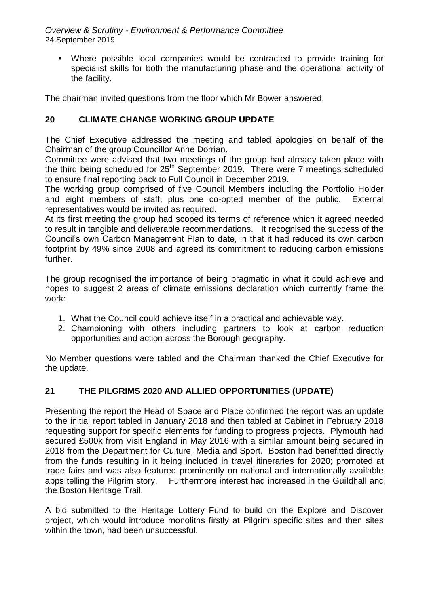*Overview & Scrutiny - Environment & Performance Committee* 24 September 2019

 Where possible local companies would be contracted to provide training for specialist skills for both the manufacturing phase and the operational activity of the facility.

The chairman invited questions from the floor which Mr Bower answered.

# **20 CLIMATE CHANGE WORKING GROUP UPDATE**

The Chief Executive addressed the meeting and tabled apologies on behalf of the Chairman of the group Councillor Anne Dorrian.

Committee were advised that two meetings of the group had already taken place with the third being scheduled for 25<sup>th</sup> September 2019. There were 7 meetings scheduled to ensure final reporting back to Full Council in December 2019.

The working group comprised of five Council Members including the Portfolio Holder and eight members of staff, plus one co-opted member of the public. External representatives would be invited as required.

At its first meeting the group had scoped its terms of reference which it agreed needed to result in tangible and deliverable recommendations. It recognised the success of the Council's own Carbon Management Plan to date, in that it had reduced its own carbon footprint by 49% since 2008 and agreed its commitment to reducing carbon emissions further.

The group recognised the importance of being pragmatic in what it could achieve and hopes to suggest 2 areas of climate emissions declaration which currently frame the work:

- 1. What the Council could achieve itself in a practical and achievable way.
- 2. Championing with others including partners to look at carbon reduction opportunities and action across the Borough geography.

No Member questions were tabled and the Chairman thanked the Chief Executive for the update.

# **21 THE PILGRIMS 2020 AND ALLIED OPPORTUNITIES (UPDATE)**

Presenting the report the Head of Space and Place confirmed the report was an update to the initial report tabled in January 2018 and then tabled at Cabinet in February 2018 requesting support for specific elements for funding to progress projects. Plymouth had secured £500k from Visit England in May 2016 with a similar amount being secured in 2018 from the Department for Culture, Media and Sport. Boston had benefitted directly from the funds resulting in it being included in travel itineraries for 2020; promoted at trade fairs and was also featured prominently on national and internationally available apps telling the Pilgrim story. Furthermore interest had increased in the Guildhall and the Boston Heritage Trail.

A bid submitted to the Heritage Lottery Fund to build on the Explore and Discover project, which would introduce monoliths firstly at Pilgrim specific sites and then sites within the town, had been unsuccessful.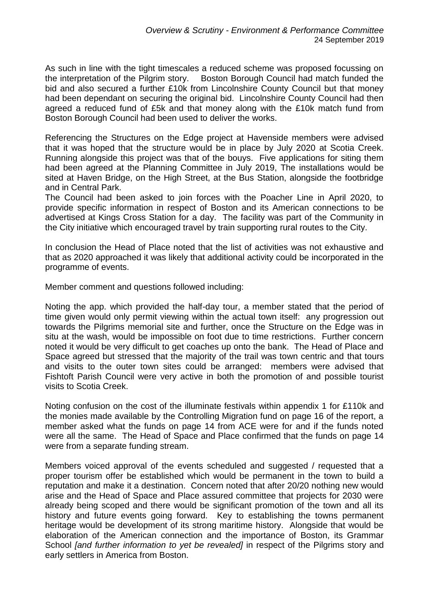As such in line with the tight timescales a reduced scheme was proposed focussing on the interpretation of the Pilgrim story. Boston Borough Council had match funded the bid and also secured a further £10k from Lincolnshire County Council but that money had been dependant on securing the original bid. Lincolnshire County Council had then agreed a reduced fund of £5k and that money along with the £10k match fund from Boston Borough Council had been used to deliver the works.

Referencing the Structures on the Edge project at Havenside members were advised that it was hoped that the structure would be in place by July 2020 at Scotia Creek. Running alongside this project was that of the bouys. Five applications for siting them had been agreed at the Planning Committee in July 2019, The installations would be sited at Haven Bridge, on the High Street, at the Bus Station, alongside the footbridge and in Central Park.

The Council had been asked to join forces with the Poacher Line in April 2020, to provide specific information in respect of Boston and its American connections to be advertised at Kings Cross Station for a day. The facility was part of the Community in the City initiative which encouraged travel by train supporting rural routes to the City.

In conclusion the Head of Place noted that the list of activities was not exhaustive and that as 2020 approached it was likely that additional activity could be incorporated in the programme of events.

Member comment and questions followed including:

Noting the app. which provided the half-day tour, a member stated that the period of time given would only permit viewing within the actual town itself: any progression out towards the Pilgrims memorial site and further, once the Structure on the Edge was in situ at the wash, would be impossible on foot due to time restrictions. Further concern noted it would be very difficult to get coaches up onto the bank. The Head of Place and Space agreed but stressed that the majority of the trail was town centric and that tours and visits to the outer town sites could be arranged: members were advised that Fishtoft Parish Council were very active in both the promotion of and possible tourist visits to Scotia Creek.

Noting confusion on the cost of the illuminate festivals within appendix 1 for £110k and the monies made available by the Controlling Migration fund on page 16 of the report, a member asked what the funds on page 14 from ACE were for and if the funds noted were all the same. The Head of Space and Place confirmed that the funds on page 14 were from a separate funding stream.

Members voiced approval of the events scheduled and suggested / requested that a proper tourism offer be established which would be permanent in the town to build a reputation and make it a destination. Concern noted that after 20/20 nothing new would arise and the Head of Space and Place assured committee that projects for 2030 were already being scoped and there would be significant promotion of the town and all its history and future events going forward. Key to establishing the towns permanent heritage would be development of its strong maritime history. Alongside that would be elaboration of the American connection and the importance of Boston, its Grammar School *[and further information to yet be revealed]* in respect of the Pilgrims story and early settlers in America from Boston.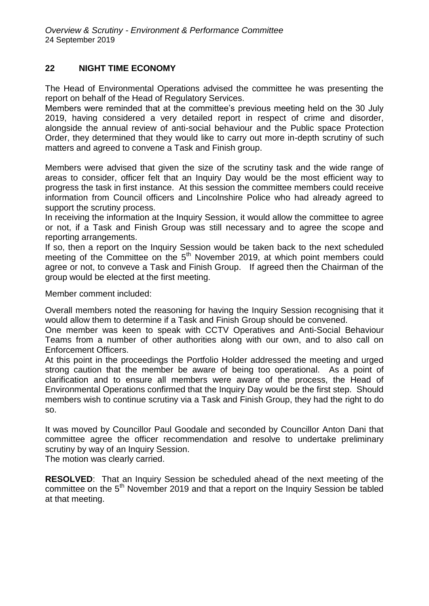# **22 NIGHT TIME ECONOMY**

The Head of Environmental Operations advised the committee he was presenting the report on behalf of the Head of Regulatory Services.

Members were reminded that at the committee's previous meeting held on the 30 July 2019, having considered a very detailed report in respect of crime and disorder, alongside the annual review of anti-social behaviour and the Public space Protection Order, they determined that they would like to carry out more in-depth scrutiny of such matters and agreed to convene a Task and Finish group.

Members were advised that given the size of the scrutiny task and the wide range of areas to consider, officer felt that an Inquiry Day would be the most efficient way to progress the task in first instance. At this session the committee members could receive information from Council officers and Lincolnshire Police who had already agreed to support the scrutiny process.

In receiving the information at the Inquiry Session, it would allow the committee to agree or not, if a Task and Finish Group was still necessary and to agree the scope and reporting arrangements.

If so, then a report on the Inquiry Session would be taken back to the next scheduled meeting of the Committee on the 5<sup>th</sup> November 2019, at which point members could agree or not, to conveve a Task and Finish Group. If agreed then the Chairman of the group would be elected at the first meeting.

Member comment included:

Overall members noted the reasoning for having the Inquiry Session recognising that it would allow them to determine if a Task and Finish Group should be convened.

One member was keen to speak with CCTV Operatives and Anti-Social Behaviour Teams from a number of other authorities along with our own, and to also call on Enforcement Officers.

At this point in the proceedings the Portfolio Holder addressed the meeting and urged strong caution that the member be aware of being too operational. As a point of clarification and to ensure all members were aware of the process, the Head of Environmental Operations confirmed that the Inquiry Day would be the first step. Should members wish to continue scrutiny via a Task and Finish Group, they had the right to do so.

It was moved by Councillor Paul Goodale and seconded by Councillor Anton Dani that committee agree the officer recommendation and resolve to undertake preliminary scrutiny by way of an Inquiry Session.

The motion was clearly carried.

**RESOLVED**: That an Inquiry Session be scheduled ahead of the next meeting of the committee on the 5<sup>th</sup> November 2019 and that a report on the Inquiry Session be tabled at that meeting.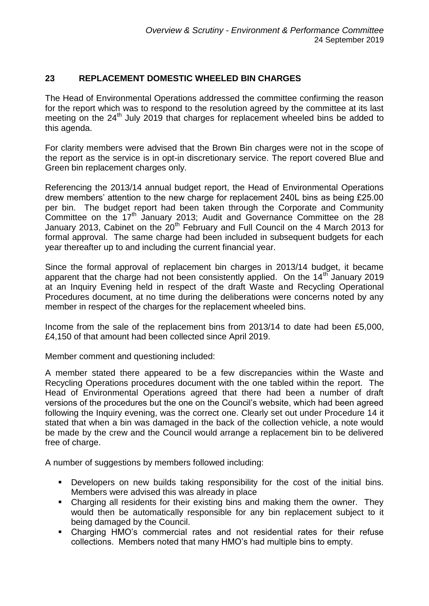## **23 REPLACEMENT DOMESTIC WHEELED BIN CHARGES**

The Head of Environmental Operations addressed the committee confirming the reason for the report which was to respond to the resolution agreed by the committee at its last meeting on the 24<sup>th</sup> July 2019 that charges for replacement wheeled bins be added to this agenda.

For clarity members were advised that the Brown Bin charges were not in the scope of the report as the service is in opt-in discretionary service. The report covered Blue and Green bin replacement charges only.

Referencing the 2013/14 annual budget report, the Head of Environmental Operations drew members' attention to the new charge for replacement 240L bins as being £25.00 per bin. The budget report had been taken through the Corporate and Community Committee on the 17<sup>th</sup> January 2013; Audit and Governance Committee on the 28 January 2013, Cabinet on the  $20<sup>th</sup>$  February and Full Council on the 4 March 2013 for formal approval. The same charge had been included in subsequent budgets for each year thereafter up to and including the current financial year.

Since the formal approval of replacement bin charges in 2013/14 budget, it became apparent that the charge had not been consistently applied. On the  $14<sup>th</sup>$  January 2019 at an Inquiry Evening held in respect of the draft Waste and Recycling Operational Procedures document, at no time during the deliberations were concerns noted by any member in respect of the charges for the replacement wheeled bins.

Income from the sale of the replacement bins from 2013/14 to date had been £5,000, £4,150 of that amount had been collected since April 2019.

Member comment and questioning included:

A member stated there appeared to be a few discrepancies within the Waste and Recycling Operations procedures document with the one tabled within the report. The Head of Environmental Operations agreed that there had been a number of draft versions of the procedures but the one on the Council's website, which had been agreed following the Inquiry evening, was the correct one. Clearly set out under Procedure 14 it stated that when a bin was damaged in the back of the collection vehicle, a note would be made by the crew and the Council would arrange a replacement bin to be delivered free of charge.

A number of suggestions by members followed including:

- **Developers on new builds taking responsibility for the cost of the initial bins.** Members were advised this was already in place
- Charging all residents for their existing bins and making them the owner. They would then be automatically responsible for any bin replacement subject to it being damaged by the Council.
- Charging HMO's commercial rates and not residential rates for their refuse collections. Members noted that many HMO's had multiple bins to empty.